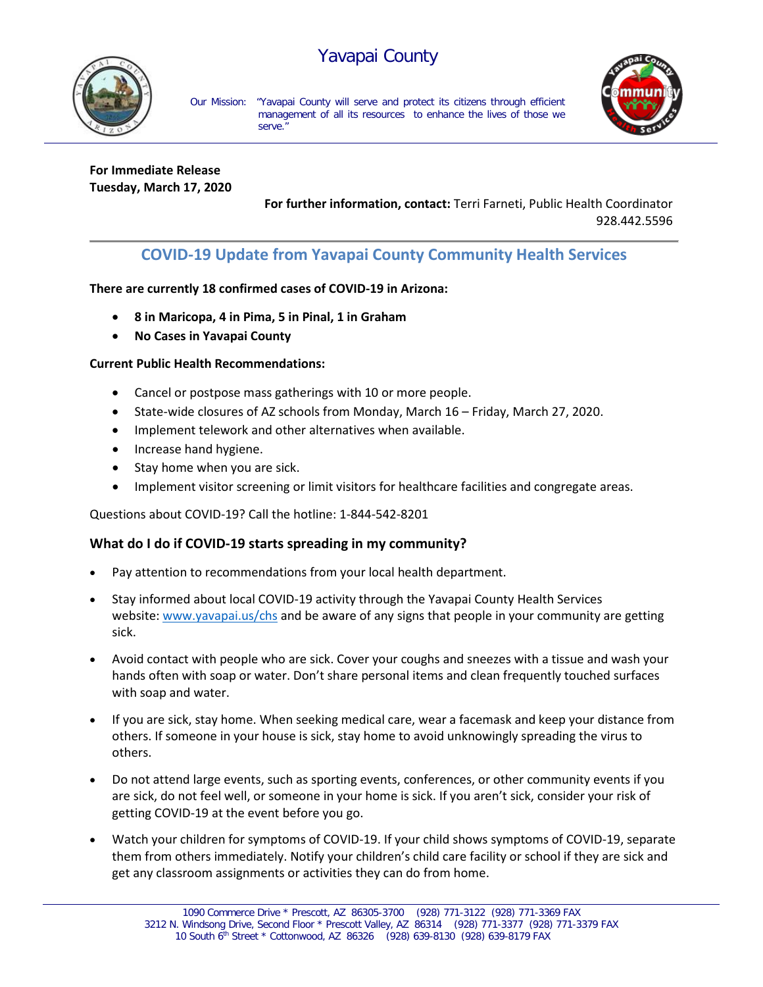# Yavapai County



Our Mission: "Yavapai County will serve and protect its citizens through efficient management of all its resources to enhance the lives of those we serve."



**For Immediate Release Tuesday, March 17, 2020**

> **For further information, contact:** Terri Farneti, Public Health Coordinator 928.442.5596

# **COVID-19 Update from Yavapai County Community Health Services**

## **There are currently 18 confirmed cases of COVID-19 in Arizona:**

- **8 in Maricopa, 4 in Pima, 5 in Pinal, 1 in Graham**
- **No Cases in Yavapai County**

#### **Current Public Health Recommendations:**

- Cancel or postpose mass gatherings with 10 or more people.
- State-wide closures of AZ schools from Monday, March 16 Friday, March 27, 2020.
- Implement telework and other alternatives when available.
- Increase hand hygiene.
- Stay home when you are sick.
- Implement visitor screening or limit visitors for healthcare facilities and congregate areas.

Questions about COVID-19? Call the hotline: 1-844-542-8201

## **What do I do if COVID-19 starts spreading in my community?**

- Pay attention to recommendations from your local health department.
- Stay informed about local COVID-19 activity through the Yavapai County Health Services website: [www.yavapai.us/chs](http://www.yavapai.us/chs) and be aware of any signs that people in your community are getting sick.
- Avoid contact with people who are sick. Cover your coughs and sneezes with a tissue and wash your hands often with soap or water. Don't share personal items and clean frequently touched surfaces with soap and water.
- If you are sick, stay home. When seeking medical care, wear a facemask and keep your distance from others. If someone in your house is sick, stay home to avoid unknowingly spreading the virus to others.
- Do not attend large events, such as sporting events, conferences, or other community events if you are sick, do not feel well, or someone in your home is sick. If you aren't sick, consider your risk of getting COVID-19 at the event before you go.
- Watch your children for symptoms of COVID-19. If your child shows symptoms of COVID-19, separate them from others immediately. Notify your children's child care facility or school if they are sick and get any classroom assignments or activities they can do from home.